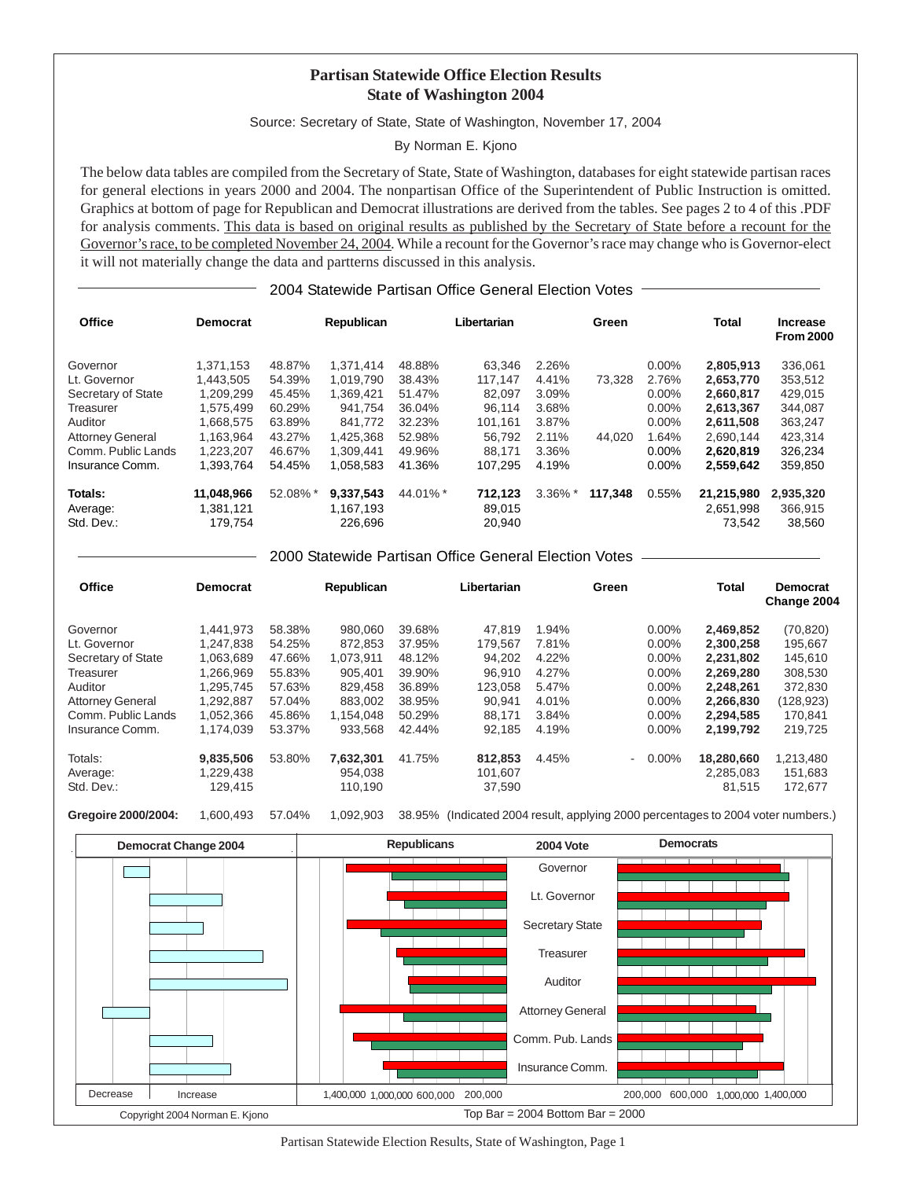# **Partisan Statewide Office Election Results State of Washington 2004**

Source: Secretary of State, State of Washington, November 17, 2004

By Norman E. Kjono

The below data tables are compiled from the Secretary of State, State of Washington, databases for eight statewide partisan races for general elections in years 2000 and 2004. The nonpartisan Office of the Superintendent of Public Instruction is omitted. Graphics at bottom of page for Republican and Democrat illustrations are derived from the tables. See pages 2 to 4 of this .PDF for analysis comments. This data is based on original results as published by the Secretary of State before a recount for the Governor's race, to be completed November 24, 2004. While a recount for the Governor's race may change who is Governor-elect it will not materially change the data and partterns discussed in this analysis.

#### 2004 Statewide Partisan Office General Election Votes

| Office                            | <b>Democrat</b>                    |          | Republican                        |          | Libertarian                 |            | Green   |          | Total                             | <b>Increase</b><br><b>From 2000</b> |
|-----------------------------------|------------------------------------|----------|-----------------------------------|----------|-----------------------------|------------|---------|----------|-----------------------------------|-------------------------------------|
| Governor                          | 1.371.153                          | 48.87%   | 1.371.414                         | 48.88%   | 63.346                      | 2.26%      | 73.328  | $0.00\%$ | 2,805,913                         | 336,061                             |
| Lt. Governor                      | 1.443.505                          | 54.39%   | 1.019.790                         | 38.43%   | 117.147                     | 4.41%      |         | 2.76%    | 2,653,770                         | 353,512                             |
| Secretary of State                | 1,209,299                          | 45.45%   | 1,369,421                         | 51.47%   | 82.097                      | 3.09%      |         | $0.00\%$ | 2,660,817                         | 429,015                             |
| Treasurer                         | 1.575.499                          | 60.29%   | 941.754                           | 36.04%   | 96.114                      | 3.68%      |         | $0.00\%$ | 2.613.367                         | 344.087                             |
| Auditor                           | 1,668,575                          | 63.89%   | 841,772                           | 32.23%   | 101.161                     | 3.87%      | 44.020  | $0.00\%$ | 2,611,508                         | 363,247                             |
| <b>Attorney General</b>           | 1.163.964                          | 43.27%   | 1,425,368                         | 52.98%   | 56.792                      | 2.11%      |         | 1.64%    | 2.690.144                         | 423,314                             |
| Comm. Public Lands                | 1,223,207                          | 46.67%   | 1.309.441                         | 49.96%   | 88.171                      | 3.36%      |         | 0.00%    | 2.620.819                         | 326.234                             |
| Insurance Comm.                   | 1,393,764                          | 54.45%   | 1,058,583                         | 41.36%   | 107.295                     | 4.19%      |         | $0.00\%$ | 2,559,642                         | 359,850                             |
| Totals:<br>Average:<br>Std. Dev.: | 11,048,966<br>1.381.121<br>179.754 | 52.08% * | 9,337,543<br>1.167.193<br>226,696 | 44.01% * | 712.123<br>89.015<br>20,940 | $3.36\%$ * | 117.348 | 0.55%    | 21,215,980<br>2.651.998<br>73.542 | 2,935,320<br>366.915<br>38,560      |

2000 Statewide Partisan Office General Election Votes

| <b>Office</b>           | <b>Democrat</b> |        | Republican |        | Libertarian |       | Green              | Total      | <b>Democrat</b><br>Change 2004 |
|-------------------------|-----------------|--------|------------|--------|-------------|-------|--------------------|------------|--------------------------------|
| Governor                | 1.441.973       | 58.38% | 980.060    | 39.68% | 47.819      | 1.94% | $0.00\%$           | 2,469,852  | (70, 820)                      |
| Lt. Governor            | 1.247.838       | 54.25% | 872.853    | 37.95% | 179.567     | 7.81% | $0.00\%$           | 2,300,258  | 195,667                        |
| Secretary of State      | 1,063,689       | 47.66% | 1,073,911  | 48.12% | 94.202      | 4.22% | $0.00\%$           | 2,231,802  | 145,610                        |
| Treasurer               | 1.266.969       | 55.83% | 905.401    | 39.90% | 96.910      | 4.27% | $0.00\%$           | 2,269,280  | 308,530                        |
| Auditor                 | 1.295.745       | 57.63% | 829.458    | 36.89% | 123.058     | 5.47% | $0.00\%$           | 2.248.261  | 372.830                        |
| <b>Attorney General</b> | 1.292.887       | 57.04% | 883.002    | 38.95% | 90.941      | 4.01% | $0.00\%$           | 2.266.830  | (128, 923)                     |
| Comm. Public Lands      | 1.052.366       | 45.86% | 1.154.048  | 50.29% | 88.171      | 3.84% | $0.00\%$           | 2,294,585  | 170.841                        |
| Insurance Comm.         | 1,174,039       | 53.37% | 933,568    | 42.44% | 92.185      | 4.19% | $0.00\%$           | 2,199,792  | 219,725                        |
| Totals:                 | 9,835,506       | 53.80% | 7.632.301  | 41.75% | 812.853     | 4.45% | $0.00\%$<br>$\sim$ | 18,280,660 | 1,213,480                      |
| Average:                | 1,229,438       |        | 954.038    |        | 101.607     |       |                    | 2.285.083  | 151,683                        |
| Std. Dev.:              | 129,415         |        | 110.190    |        | 37,590      |       |                    | 81.515     | 172.677                        |

**Gregoire 2000/2004:** 1,600,493 57.04% 1,092,903 38.95% (Indicated 2004 result, applying 2000 percentages to 2004 voter numbers.)



Partisan Statewide Election Results, State of Washington, Page 1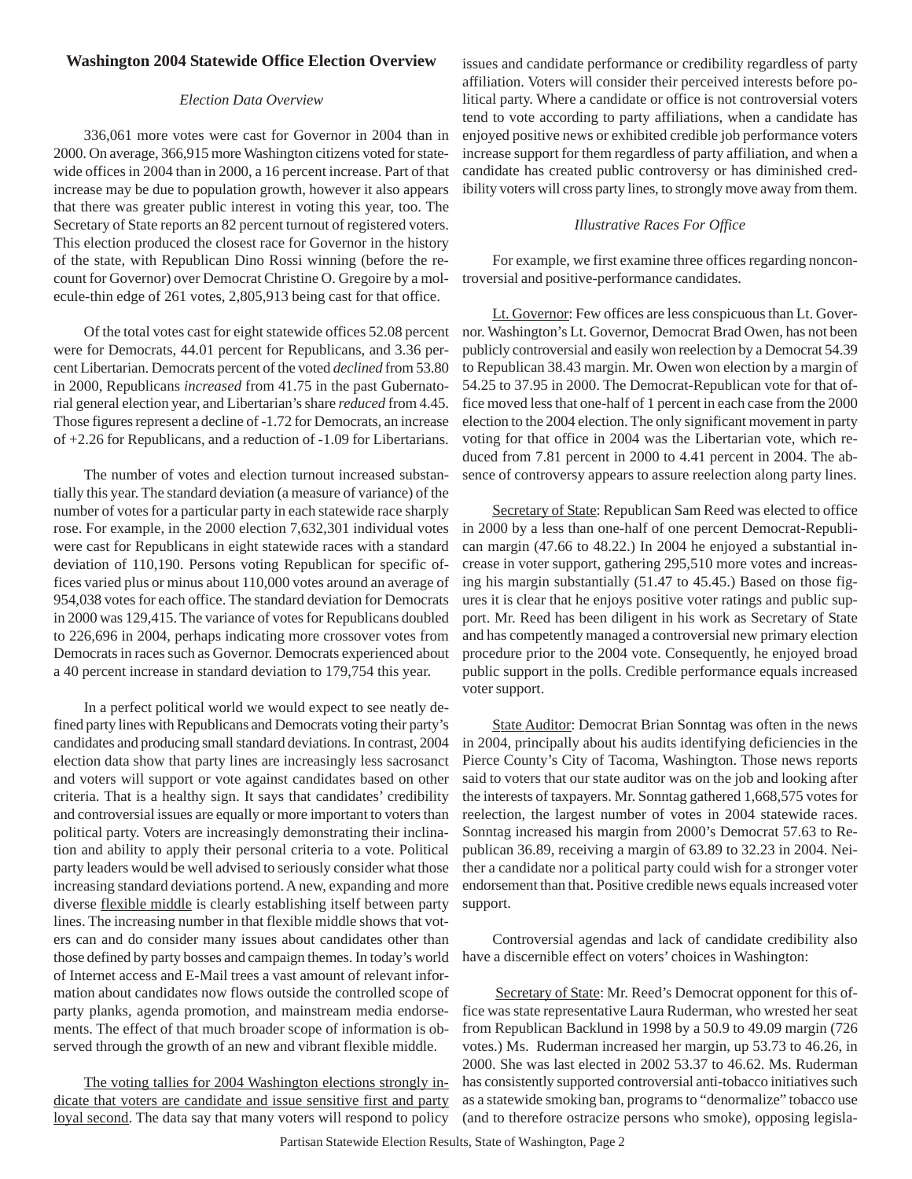## **Washington 2004 Statewide Office Election Overview**

### *Election Data Overview*

336,061 more votes were cast for Governor in 2004 than in 2000. On average, 366,915 more Washington citizens voted for statewide offices in 2004 than in 2000, a 16 percent increase. Part of that increase may be due to population growth, however it also appears that there was greater public interest in voting this year, too. The Secretary of State reports an 82 percent turnout of registered voters. This election produced the closest race for Governor in the history of the state, with Republican Dino Rossi winning (before the recount for Governor) over Democrat Christine O. Gregoire by a molecule-thin edge of 261 votes, 2,805,913 being cast for that office.

Of the total votes cast for eight statewide offices 52.08 percent were for Democrats, 44.01 percent for Republicans, and 3.36 percent Libertarian. Democrats percent of the voted *declined* from 53.80 in 2000, Republicans *increased* from 41.75 in the past Gubernatorial general election year, and Libertarian's share *reduced* from 4.45. Those figures represent a decline of -1.72 for Democrats, an increase of +2.26 for Republicans, and a reduction of -1.09 for Libertarians.

The number of votes and election turnout increased substantially this year. The standard deviation (a measure of variance) of the number of votes for a particular party in each statewide race sharply rose. For example, in the 2000 election 7,632,301 individual votes were cast for Republicans in eight statewide races with a standard deviation of 110,190. Persons voting Republican for specific offices varied plus or minus about 110,000 votes around an average of 954,038 votes for each office. The standard deviation for Democrats in 2000 was 129,415. The variance of votes for Republicans doubled to 226,696 in 2004, perhaps indicating more crossover votes from Democrats in races such as Governor. Democrats experienced about a 40 percent increase in standard deviation to 179,754 this year.

In a perfect political world we would expect to see neatly defined party lines with Republicans and Democrats voting their party's candidates and producing small standard deviations. In contrast, 2004 election data show that party lines are increasingly less sacrosanct and voters will support or vote against candidates based on other criteria. That is a healthy sign. It says that candidates' credibility and controversial issues are equally or more important to voters than political party. Voters are increasingly demonstrating their inclination and ability to apply their personal criteria to a vote. Political party leaders would be well advised to seriously consider what those increasing standard deviations portend. A new, expanding and more diverse flexible middle is clearly establishing itself between party lines. The increasing number in that flexible middle shows that voters can and do consider many issues about candidates other than those defined by party bosses and campaign themes. In today's world of Internet access and E-Mail trees a vast amount of relevant information about candidates now flows outside the controlled scope of party planks, agenda promotion, and mainstream media endorsements. The effect of that much broader scope of information is observed through the growth of an new and vibrant flexible middle.

The voting tallies for 2004 Washington elections strongly indicate that voters are candidate and issue sensitive first and party loyal second. The data say that many voters will respond to policy issues and candidate performance or credibility regardless of party affiliation. Voters will consider their perceived interests before political party. Where a candidate or office is not controversial voters tend to vote according to party affiliations, when a candidate has enjoyed positive news or exhibited credible job performance voters increase support for them regardless of party affiliation, and when a candidate has created public controversy or has diminished credibility voters will cross party lines, to strongly move away from them.

#### *Illustrative Races For Office*

For example, we first examine three offices regarding noncontroversial and positive-performance candidates.

Lt. Governor: Few offices are less conspicuous than Lt. Governor. Washington's Lt. Governor, Democrat Brad Owen, has not been publicly controversial and easily won reelection by a Democrat 54.39 to Republican 38.43 margin. Mr. Owen won election by a margin of 54.25 to 37.95 in 2000. The Democrat-Republican vote for that office moved less that one-half of 1 percent in each case from the 2000 election to the 2004 election. The only significant movement in party voting for that office in 2004 was the Libertarian vote, which reduced from 7.81 percent in 2000 to 4.41 percent in 2004. The absence of controversy appears to assure reelection along party lines.

Secretary of State: Republican Sam Reed was elected to office in 2000 by a less than one-half of one percent Democrat-Republican margin (47.66 to 48.22.) In 2004 he enjoyed a substantial increase in voter support, gathering 295,510 more votes and increasing his margin substantially (51.47 to 45.45.) Based on those figures it is clear that he enjoys positive voter ratings and public support. Mr. Reed has been diligent in his work as Secretary of State and has competently managed a controversial new primary election procedure prior to the 2004 vote. Consequently, he enjoyed broad public support in the polls. Credible performance equals increased voter support.

State Auditor: Democrat Brian Sonntag was often in the news in 2004, principally about his audits identifying deficiencies in the Pierce County's City of Tacoma, Washington. Those news reports said to voters that our state auditor was on the job and looking after the interests of taxpayers. Mr. Sonntag gathered 1,668,575 votes for reelection, the largest number of votes in 2004 statewide races. Sonntag increased his margin from 2000's Democrat 57.63 to Republican 36.89, receiving a margin of 63.89 to 32.23 in 2004. Neither a candidate nor a political party could wish for a stronger voter endorsement than that. Positive credible news equals increased voter support.

Controversial agendas and lack of candidate credibility also have a discernible effect on voters' choices in Washington:

Secretary of State: Mr. Reed's Democrat opponent for this office was state representative Laura Ruderman, who wrested her seat from Republican Backlund in 1998 by a 50.9 to 49.09 margin (726 votes.) Ms. Ruderman increased her margin, up 53.73 to 46.26, in 2000. She was last elected in 2002 53.37 to 46.62. Ms. Ruderman has consistently supported controversial anti-tobacco initiatives such as a statewide smoking ban, programs to "denormalize" tobacco use (and to therefore ostracize persons who smoke), opposing legisla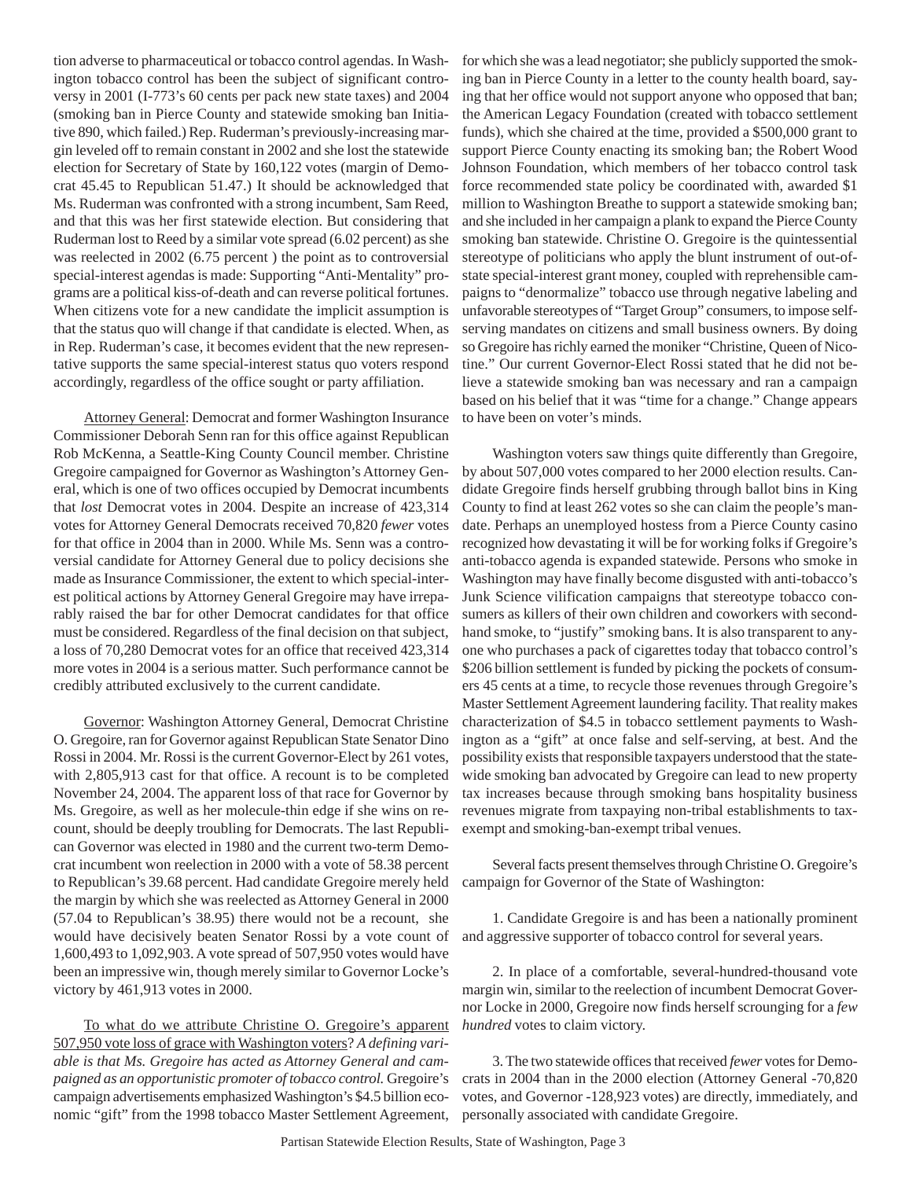tion adverse to pharmaceutical or tobacco control agendas. In Washington tobacco control has been the subject of significant controversy in 2001 (I-773's 60 cents per pack new state taxes) and 2004 (smoking ban in Pierce County and statewide smoking ban Initiative 890, which failed.) Rep. Ruderman's previously-increasing margin leveled off to remain constant in 2002 and she lost the statewide election for Secretary of State by 160,122 votes (margin of Democrat 45.45 to Republican 51.47.) It should be acknowledged that Ms. Ruderman was confronted with a strong incumbent, Sam Reed, and that this was her first statewide election. But considering that Ruderman lost to Reed by a similar vote spread (6.02 percent) as she was reelected in 2002 (6.75 percent ) the point as to controversial special-interest agendas is made: Supporting "Anti-Mentality" programs are a political kiss-of-death and can reverse political fortunes. When citizens vote for a new candidate the implicit assumption is that the status quo will change if that candidate is elected. When, as in Rep. Ruderman's case, it becomes evident that the new representative supports the same special-interest status quo voters respond accordingly, regardless of the office sought or party affiliation.

Attorney General: Democrat and former Washington Insurance Commissioner Deborah Senn ran for this office against Republican Rob McKenna, a Seattle-King County Council member. Christine Gregoire campaigned for Governor as Washington's Attorney General, which is one of two offices occupied by Democrat incumbents that *lost* Democrat votes in 2004. Despite an increase of 423,314 votes for Attorney General Democrats received 70,820 *fewer* votes for that office in 2004 than in 2000. While Ms. Senn was a controversial candidate for Attorney General due to policy decisions she made as Insurance Commissioner, the extent to which special-interest political actions by Attorney General Gregoire may have irreparably raised the bar for other Democrat candidates for that office must be considered. Regardless of the final decision on that subject, a loss of 70,280 Democrat votes for an office that received 423,314 more votes in 2004 is a serious matter. Such performance cannot be credibly attributed exclusively to the current candidate.

Governor: Washington Attorney General, Democrat Christine O. Gregoire, ran for Governor against Republican State Senator Dino Rossi in 2004. Mr. Rossi is the current Governor-Elect by 261 votes, with 2,805,913 cast for that office. A recount is to be completed November 24, 2004. The apparent loss of that race for Governor by Ms. Gregoire, as well as her molecule-thin edge if she wins on recount, should be deeply troubling for Democrats. The last Republican Governor was elected in 1980 and the current two-term Democrat incumbent won reelection in 2000 with a vote of 58.38 percent to Republican's 39.68 percent. Had candidate Gregoire merely held the margin by which she was reelected as Attorney General in 2000 (57.04 to Republican's 38.95) there would not be a recount, she would have decisively beaten Senator Rossi by a vote count of 1,600,493 to 1,092,903. A vote spread of 507,950 votes would have been an impressive win, though merely similar to Governor Locke's victory by 461,913 votes in 2000.

To what do we attribute Christine O. Gregoire's apparent 507,950 vote loss of grace with Washington voters? *A defining variable is that Ms. Gregoire has acted as Attorney General and campaigned as an opportunistic promoter of tobacco control.* Gregoire's campaign advertisements emphasized Washington's \$4.5 billion economic "gift" from the 1998 tobacco Master Settlement Agreement, for which she was a lead negotiator; she publicly supported the smoking ban in Pierce County in a letter to the county health board, saying that her office would not support anyone who opposed that ban; the American Legacy Foundation (created with tobacco settlement funds), which she chaired at the time, provided a \$500,000 grant to support Pierce County enacting its smoking ban; the Robert Wood Johnson Foundation, which members of her tobacco control task force recommended state policy be coordinated with, awarded \$1 million to Washington Breathe to support a statewide smoking ban; and she included in her campaign a plank to expand the Pierce County smoking ban statewide. Christine O. Gregoire is the quintessential stereotype of politicians who apply the blunt instrument of out-ofstate special-interest grant money, coupled with reprehensible campaigns to "denormalize" tobacco use through negative labeling and unfavorable stereotypes of "Target Group" consumers, to impose selfserving mandates on citizens and small business owners. By doing so Gregoire has richly earned the moniker "Christine, Queen of Nicotine." Our current Governor-Elect Rossi stated that he did not believe a statewide smoking ban was necessary and ran a campaign based on his belief that it was "time for a change." Change appears to have been on voter's minds.

Washington voters saw things quite differently than Gregoire, by about 507,000 votes compared to her 2000 election results. Candidate Gregoire finds herself grubbing through ballot bins in King County to find at least 262 votes so she can claim the people's mandate. Perhaps an unemployed hostess from a Pierce County casino recognized how devastating it will be for working folks if Gregoire's anti-tobacco agenda is expanded statewide. Persons who smoke in Washington may have finally become disgusted with anti-tobacco's Junk Science vilification campaigns that stereotype tobacco consumers as killers of their own children and coworkers with secondhand smoke, to "justify" smoking bans. It is also transparent to anyone who purchases a pack of cigarettes today that tobacco control's \$206 billion settlement is funded by picking the pockets of consumers 45 cents at a time, to recycle those revenues through Gregoire's Master Settlement Agreement laundering facility. That reality makes characterization of \$4.5 in tobacco settlement payments to Washington as a "gift" at once false and self-serving, at best. And the possibility exists that responsible taxpayers understood that the statewide smoking ban advocated by Gregoire can lead to new property tax increases because through smoking bans hospitality business revenues migrate from taxpaying non-tribal establishments to taxexempt and smoking-ban-exempt tribal venues.

Several facts present themselves through Christine O. Gregoire's campaign for Governor of the State of Washington:

1. Candidate Gregoire is and has been a nationally prominent and aggressive supporter of tobacco control for several years.

2. In place of a comfortable, several-hundred-thousand vote margin win, similar to the reelection of incumbent Democrat Governor Locke in 2000, Gregoire now finds herself scrounging for a *few hundred* votes to claim victory.

3. The two statewide offices that received *fewer* votes for Democrats in 2004 than in the 2000 election (Attorney General -70,820 votes, and Governor -128,923 votes) are directly, immediately, and personally associated with candidate Gregoire.